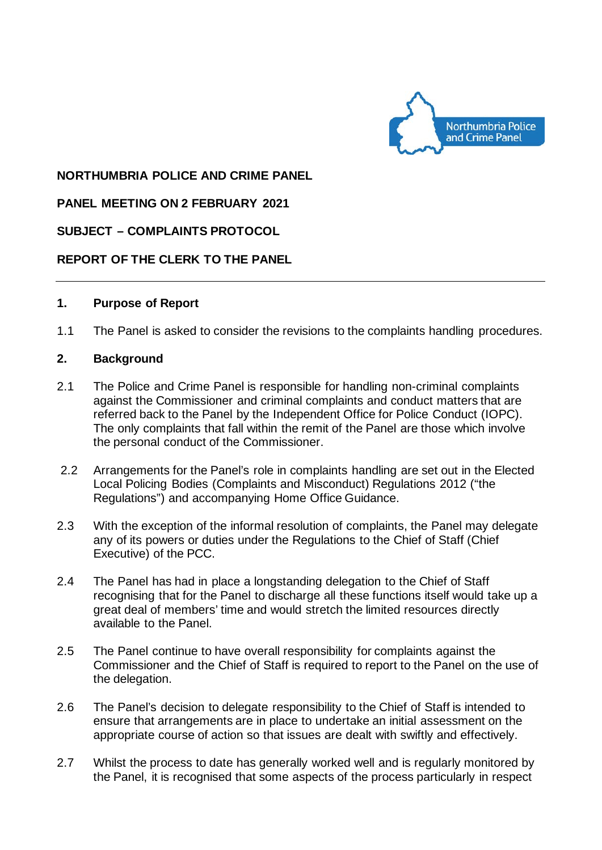

## **NORTHUMBRIA POLICE AND CRIME PANEL**

## **PANEL MEETING ON 2 FEBRUARY 2021**

## **SUBJECT – COMPLAINTS PROTOCOL**

## **REPORT OF THE CLERK TO THE PANEL**

#### **1. Purpose of Report**

1.1 The Panel is asked to consider the revisions to the complaints handling procedures.

#### **2. Background**

- 2.1 The Police and Crime Panel is responsible for handling non-criminal complaints against the Commissioner and criminal complaints and conduct matters that are referred back to the Panel by the Independent Office for Police Conduct (IOPC). The only complaints that fall within the remit of the Panel are those which involve the personal conduct of the Commissioner.
- 2.2 Arrangements for the Panel's role in complaints handling are set out in the Elected Local Policing Bodies (Complaints and Misconduct) Regulations 2012 ("the Regulations") and accompanying Home Office Guidance.
- 2.3 With the exception of the informal resolution of complaints, the Panel may delegate any of its powers or duties under the Regulations to the Chief of Staff (Chief Executive) of the PCC.
- 2.4 The Panel has had in place a longstanding delegation to the Chief of Staff recognising that for the Panel to discharge all these functions itself would take up a great deal of members' time and would stretch the limited resources directly available to the Panel.
- 2.5 The Panel continue to have overall responsibility for complaints against the Commissioner and the Chief of Staff is required to report to the Panel on the use of the delegation.
- 2.6 The Panel's decision to delegate responsibility to the Chief of Staff is intended to ensure that arrangements are in place to undertake an initial assessment on the appropriate course of action so that issues are dealt with swiftly and effectively.
- 2.7 Whilst the process to date has generally worked well and is regularly monitored by the Panel, it is recognised that some aspects of the process particularly in respect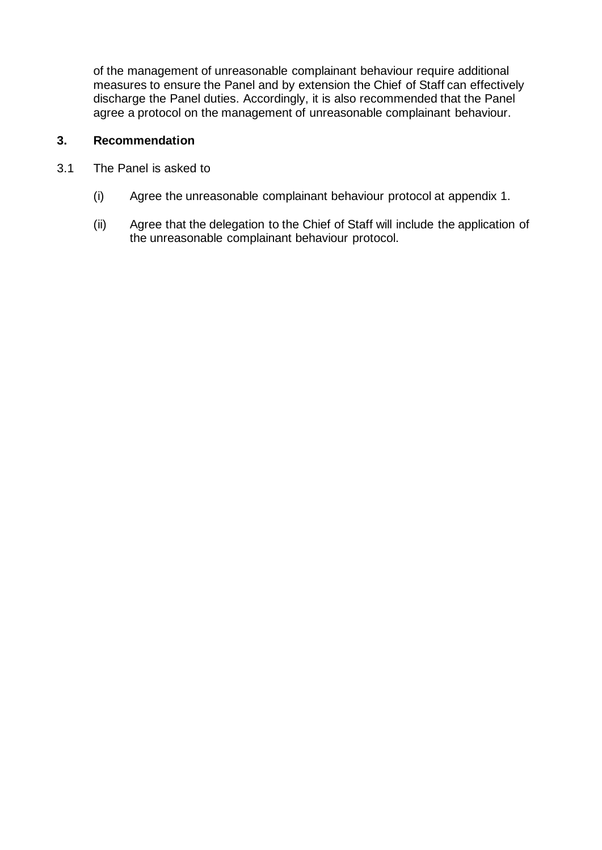of the management of unreasonable complainant behaviour require additional measures to ensure the Panel and by extension the Chief of Staff can effectively discharge the Panel duties. Accordingly, it is also recommended that the Panel agree a protocol on the management of unreasonable complainant behaviour.

# **3. Recommendation**

- 3.1 The Panel is asked to
	- (i) Agree the unreasonable complainant behaviour protocol at appendix 1.
	- (ii) Agree that the delegation to the Chief of Staff will include the application of the unreasonable complainant behaviour protocol.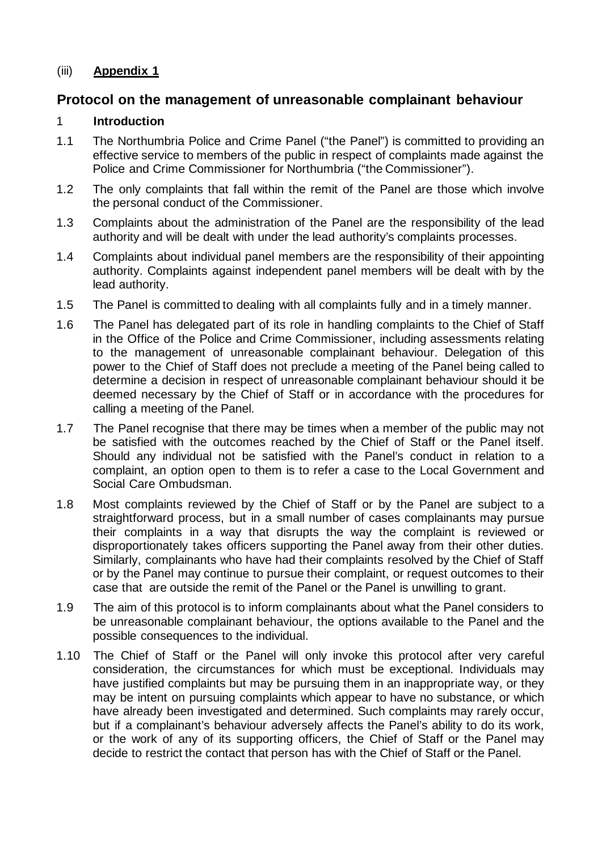# (iii) **Appendix 1**

# **Protocol on the management of unreasonable complainant behaviour**

# 1 **Introduction**

- 1.1 The Northumbria Police and Crime Panel ("the Panel") is committed to providing an effective service to members of the public in respect of complaints made against the Police and Crime Commissioner for Northumbria ("the Commissioner").
- 1.2 The only complaints that fall within the remit of the Panel are those which involve the personal conduct of the Commissioner.
- 1.3 Complaints about the administration of the Panel are the responsibility of the lead authority and will be dealt with under the lead authority's complaints processes.
- 1.4 Complaints about individual panel members are the responsibility of their appointing authority. Complaints against independent panel members will be dealt with by the lead authority.
- 1.5 The Panel is committed to dealing with all complaints fully and in a timely manner.
- 1.6 The Panel has delegated part of its role in handling complaints to the Chief of Staff in the Office of the Police and Crime Commissioner, including assessments relating to the management of unreasonable complainant behaviour. Delegation of this power to the Chief of Staff does not preclude a meeting of the Panel being called to determine a decision in respect of unreasonable complainant behaviour should it be deemed necessary by the Chief of Staff or in accordance with the procedures for calling a meeting of the Panel.
- 1.7 The Panel recognise that there may be times when a member of the public may not be satisfied with the outcomes reached by the Chief of Staff or the Panel itself. Should any individual not be satisfied with the Panel's conduct in relation to a complaint, an option open to them is to refer a case to the Local Government and Social Care Ombudsman.
- 1.8 Most complaints reviewed by the Chief of Staff or by the Panel are subject to a straightforward process, but in a small number of cases complainants may pursue their complaints in a way that disrupts the way the complaint is reviewed or disproportionately takes officers supporting the Panel away from their other duties. Similarly, complainants who have had their complaints resolved by the Chief of Staff or by the Panel may continue to pursue their complaint, or request outcomes to their case that are outside the remit of the Panel or the Panel is unwilling to grant.
- 1.9 The aim of this protocol is to inform complainants about what the Panel considers to be unreasonable complainant behaviour, the options available to the Panel and the possible consequences to the individual.
- 1.10 The Chief of Staff or the Panel will only invoke this protocol after very careful consideration, the circumstances for which must be exceptional. Individuals may have justified complaints but may be pursuing them in an inappropriate way, or they may be intent on pursuing complaints which appear to have no substance, or which have already been investigated and determined. Such complaints may rarely occur, but if a complainant's behaviour adversely affects the Panel's ability to do its work, or the work of any of its supporting officers, the Chief of Staff or the Panel may decide to restrict the contact that person has with the Chief of Staff or the Panel.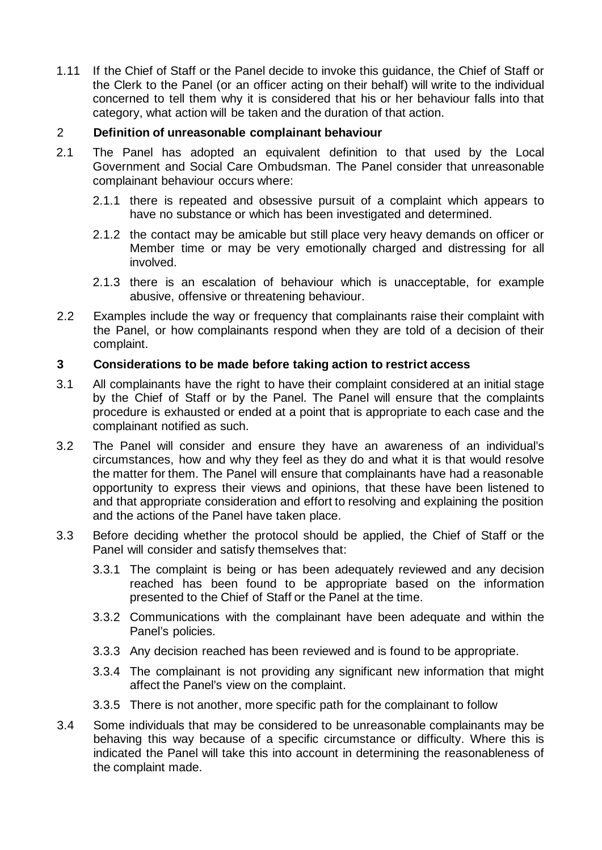1.11 If the Chief of Staff or the Panel decide to invoke this guidance, the Chief of Staff or the Clerk to the Panel (or an officer acting on their behalf) will write to the individual concerned to tell them why it is considered that his or her behaviour falls into that category, what action will be taken and the duration of that action.

# 2 **Definition of unreasonable complainant behaviour**

- 2.1 The Panel has adopted an equivalent definition to that used by the Local Government and Social Care Ombudsman. The Panel consider that unreasonable complainant behaviour occurs where:
	- 2.1.1 there is repeated and obsessive pursuit of a complaint which appears to have no substance or which has been investigated and determined.
	- 2.1.2 the contact may be amicable but still place very heavy demands on officer or Member time or may be very emotionally charged and distressing for all involved.
	- 2.1.3 there is an escalation of behaviour which is unacceptable, for example abusive, offensive or threatening behaviour.
- 2.2 Examples include the way or frequency that complainants raise their complaint with the Panel, or how complainants respond when they are told of a decision of their complaint.

## **3 Considerations to be made before taking action to restrict access**

- 3.1 All complainants have the right to have their complaint considered at an initial stage by the Chief of Staff or by the Panel. The Panel will ensure that the complaints procedure is exhausted or ended at a point that is appropriate to each case and the complainant notified as such.
- 3.2 The Panel will consider and ensure they have an awareness of an individual's circumstances, how and why they feel as they do and what it is that would resolve the matter for them. The Panel will ensure that complainants have had a reasonable opportunity to express their views and opinions, that these have been listened to and that appropriate consideration and effort to resolving and explaining the position and the actions of the Panel have taken place.
- 3.3 Before deciding whether the protocol should be applied, the Chief of Staff or the Panel will consider and satisfy themselves that:
	- 3.3.1 The complaint is being or has been adequately reviewed and any decision reached has been found to be appropriate based on the information presented to the Chief of Staff or the Panel at the time.
	- 3.3.2 Communications with the complainant have been adequate and within the Panel's policies.
	- 3.3.3 Any decision reached has been reviewed and is found to be appropriate.
	- 3.3.4 The complainant is not providing any significant new information that might affect the Panel's view on the complaint.
	- 3.3.5 There is not another, more specific path for the complainant to follow
- 3.4 Some individuals that may be considered to be unreasonable complainants may be behaving this way because of a specific circumstance or difficulty. Where this is indicated the Panel will take this into account in determining the reasonableness of the complaint made.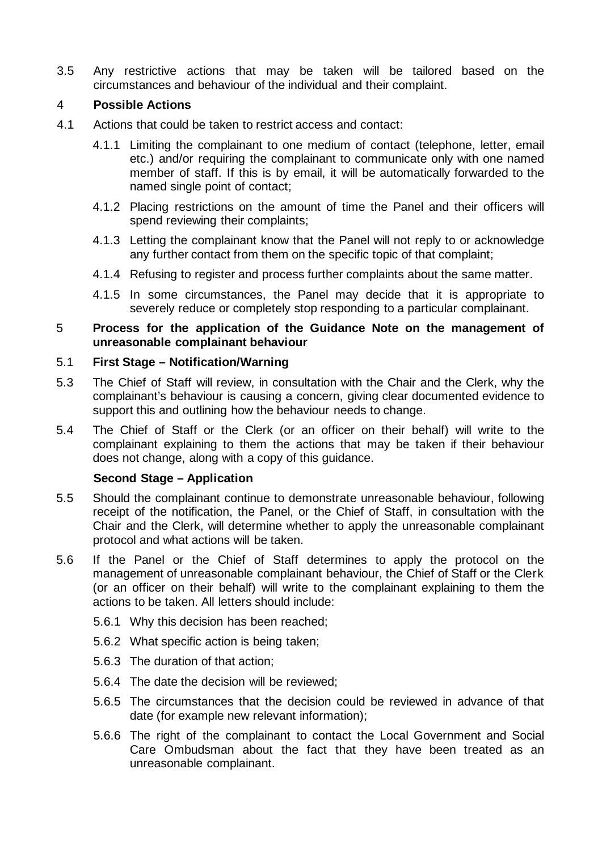3.5 Any restrictive actions that may be taken will be tailored based on the circumstances and behaviour of the individual and their complaint.

# 4 **Possible Actions**

- 4.1 Actions that could be taken to restrict access and contact:
	- 4.1.1 Limiting the complainant to one medium of contact (telephone, letter, email etc.) and/or requiring the complainant to communicate only with one named member of staff. If this is by email, it will be automatically forwarded to the named single point of contact;
	- 4.1.2 Placing restrictions on the amount of time the Panel and their officers will spend reviewing their complaints;
	- 4.1.3 Letting the complainant know that the Panel will not reply to or acknowledge any further contact from them on the specific topic of that complaint;
	- 4.1.4 Refusing to register and process further complaints about the same matter.
	- 4.1.5 In some circumstances, the Panel may decide that it is appropriate to severely reduce or completely stop responding to a particular complainant.

# 5 **Process for the application of the Guidance Note on the management of unreasonable complainant behaviour**

### 5.1 **First Stage – Notification/Warning**

- 5.3 The Chief of Staff will review, in consultation with the Chair and the Clerk, why the complainant's behaviour is causing a concern, giving clear documented evidence to support this and outlining how the behaviour needs to change.
- 5.4 The Chief of Staff or the Clerk (or an officer on their behalf) will write to the complainant explaining to them the actions that may be taken if their behaviour does not change, along with a copy of this guidance.

## **Second Stage – Application**

- 5.5 Should the complainant continue to demonstrate unreasonable behaviour, following receipt of the notification, the Panel, or the Chief of Staff, in consultation with the Chair and the Clerk, will determine whether to apply the unreasonable complainant protocol and what actions will be taken.
- 5.6 If the Panel or the Chief of Staff determines to apply the protocol on the management of unreasonable complainant behaviour, the Chief of Staff or the Clerk (or an officer on their behalf) will write to the complainant explaining to them the actions to be taken. All letters should include:
	- 5.6.1 Why this decision has been reached;
	- 5.6.2 What specific action is being taken;
	- 5.6.3 The duration of that action;
	- 5.6.4 The date the decision will be reviewed;
	- 5.6.5 The circumstances that the decision could be reviewed in advance of that date (for example new relevant information);
	- 5.6.6 The right of the complainant to contact the Local Government and Social Care Ombudsman about the fact that they have been treated as an unreasonable complainant.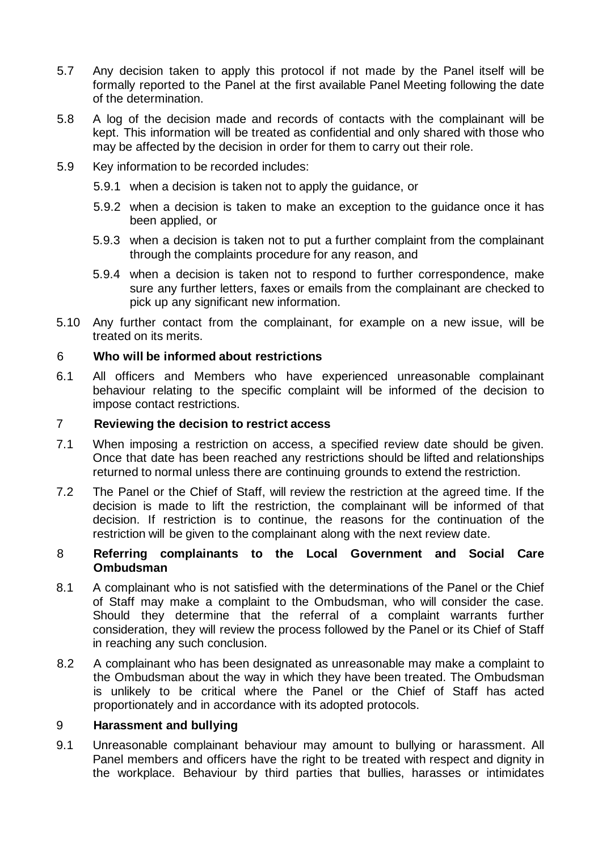- 5.7 Any decision taken to apply this protocol if not made by the Panel itself will be formally reported to the Panel at the first available Panel Meeting following the date of the determination.
- 5.8 A log of the decision made and records of contacts with the complainant will be kept. This information will be treated as confidential and only shared with those who may be affected by the decision in order for them to carry out their role.
- 5.9 Key information to be recorded includes:
	- 5.9.1 when a decision is taken not to apply the guidance, or
	- 5.9.2 when a decision is taken to make an exception to the guidance once it has been applied, or
	- 5.9.3 when a decision is taken not to put a further complaint from the complainant through the complaints procedure for any reason, and
	- 5.9.4 when a decision is taken not to respond to further correspondence, make sure any further letters, faxes or emails from the complainant are checked to pick up any significant new information.
- 5.10 Any further contact from the complainant, for example on a new issue, will be treated on its merits.

### 6 **Who will be informed about restrictions**

6.1 All officers and Members who have experienced unreasonable complainant behaviour relating to the specific complaint will be informed of the decision to impose contact restrictions.

#### 7 **Reviewing the decision to restrict access**

- 7.1 When imposing a restriction on access, a specified review date should be given. Once that date has been reached any restrictions should be lifted and relationships returned to normal unless there are continuing grounds to extend the restriction.
- 7.2 The Panel or the Chief of Staff, will review the restriction at the agreed time. If the decision is made to lift the restriction, the complainant will be informed of that decision. If restriction is to continue, the reasons for the continuation of the restriction will be given to the complainant along with the next review date.

### 8 **Referring complainants to the Local Government and Social Care Ombudsman**

- 8.1 A complainant who is not satisfied with the determinations of the Panel or the Chief of Staff may make a complaint to the Ombudsman, who will consider the case. Should they determine that the referral of a complaint warrants further consideration, they will review the process followed by the Panel or its Chief of Staff in reaching any such conclusion.
- 8.2 A complainant who has been designated as unreasonable may make a complaint to the Ombudsman about the way in which they have been treated. The Ombudsman is unlikely to be critical where the Panel or the Chief of Staff has acted proportionately and in accordance with its adopted protocols.

#### 9 **Harassment and bullying**

9.1 Unreasonable complainant behaviour may amount to bullying or harassment. All Panel members and officers have the right to be treated with respect and dignity in the workplace. Behaviour by third parties that bullies, harasses or intimidates